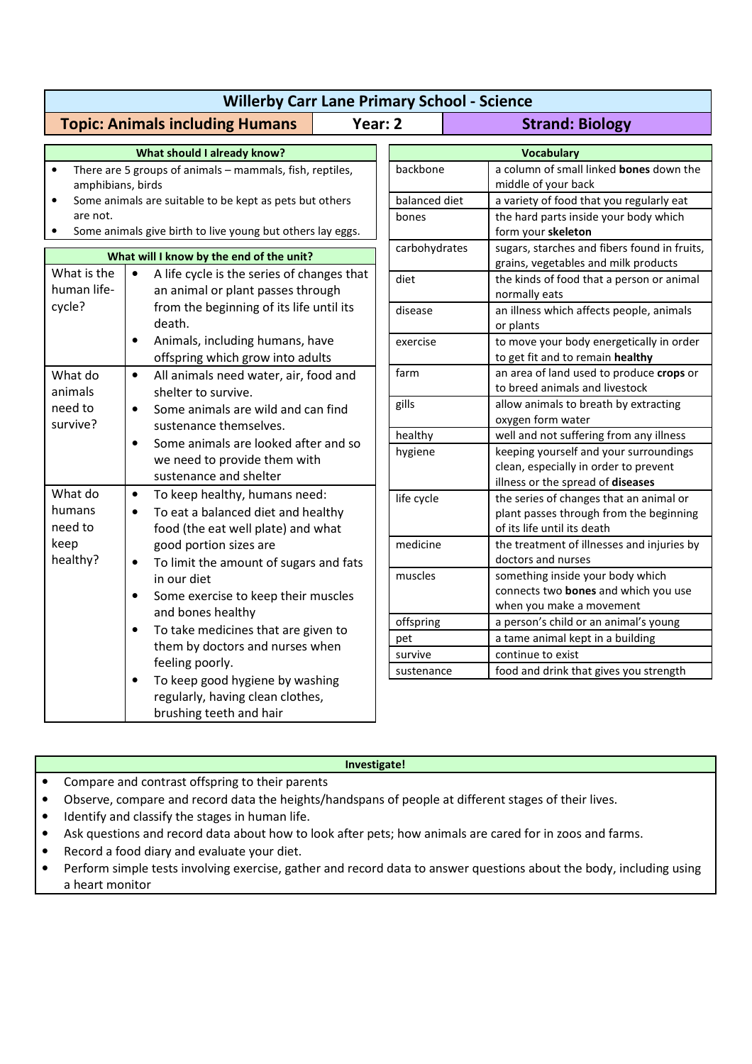| <b>Willerby Carr Lane Primary School - Science</b>                                                                                                                                                                                                |                                                                                                                                                                                                                                                                                                                                                                                                                                                                                                             |                           |                                                                                                                      |
|---------------------------------------------------------------------------------------------------------------------------------------------------------------------------------------------------------------------------------------------------|-------------------------------------------------------------------------------------------------------------------------------------------------------------------------------------------------------------------------------------------------------------------------------------------------------------------------------------------------------------------------------------------------------------------------------------------------------------------------------------------------------------|---------------------------|----------------------------------------------------------------------------------------------------------------------|
|                                                                                                                                                                                                                                                   | <b>Topic: Animals including Humans</b><br>Year: 2                                                                                                                                                                                                                                                                                                                                                                                                                                                           |                           | <b>Strand: Biology</b>                                                                                               |
| What should I already know?                                                                                                                                                                                                                       |                                                                                                                                                                                                                                                                                                                                                                                                                                                                                                             | <b>Vocabulary</b>         |                                                                                                                      |
| There are 5 groups of animals - mammals, fish, reptiles,<br>$\bullet$<br>amphibians, birds<br>Some animals are suitable to be kept as pets but others<br>٠<br>are not.<br>Some animals give birth to live young but others lay eggs.<br>$\bullet$ |                                                                                                                                                                                                                                                                                                                                                                                                                                                                                                             | backbone<br>balanced diet | a column of small linked bones down the<br>middle of your back<br>a variety of food that you regularly eat           |
|                                                                                                                                                                                                                                                   |                                                                                                                                                                                                                                                                                                                                                                                                                                                                                                             | bones                     | the hard parts inside your body which<br>form your skeleton                                                          |
| What will I know by the end of the unit?                                                                                                                                                                                                          |                                                                                                                                                                                                                                                                                                                                                                                                                                                                                                             | carbohydrates             | sugars, starches and fibers found in fruits,<br>grains, vegetables and milk products                                 |
| What is the<br>human life-<br>cycle?                                                                                                                                                                                                              | $\bullet$<br>A life cycle is the series of changes that<br>an animal or plant passes through<br>from the beginning of its life until its<br>death.                                                                                                                                                                                                                                                                                                                                                          | diet                      | the kinds of food that a person or animal<br>normally eats                                                           |
|                                                                                                                                                                                                                                                   |                                                                                                                                                                                                                                                                                                                                                                                                                                                                                                             | disease                   | an illness which affects people, animals<br>or plants                                                                |
|                                                                                                                                                                                                                                                   | $\bullet$<br>Animals, including humans, have<br>offspring which grow into adults                                                                                                                                                                                                                                                                                                                                                                                                                            | exercise                  | to move your body energetically in order<br>to get fit and to remain healthy                                         |
| What do<br>animals<br>need to<br>survive?                                                                                                                                                                                                         | All animals need water, air, food and<br>$\bullet$<br>shelter to survive.<br>Some animals are wild and can find<br>$\bullet$<br>sustenance themselves.                                                                                                                                                                                                                                                                                                                                                      | farm                      | an area of land used to produce crops or<br>to breed animals and livestock                                           |
|                                                                                                                                                                                                                                                   |                                                                                                                                                                                                                                                                                                                                                                                                                                                                                                             | gills                     | allow animals to breath by extracting<br>oxygen form water                                                           |
|                                                                                                                                                                                                                                                   | Some animals are looked after and so<br>$\bullet$                                                                                                                                                                                                                                                                                                                                                                                                                                                           | healthy                   | well and not suffering from any illness                                                                              |
|                                                                                                                                                                                                                                                   | we need to provide them with<br>sustenance and shelter                                                                                                                                                                                                                                                                                                                                                                                                                                                      | hygiene                   | keeping yourself and your surroundings<br>clean, especially in order to prevent<br>illness or the spread of diseases |
| What do<br>humans<br>need to<br>keep<br>healthy?                                                                                                                                                                                                  | To keep healthy, humans need:<br>$\bullet$<br>To eat a balanced diet and healthy<br>$\bullet$<br>food (the eat well plate) and what<br>good portion sizes are<br>To limit the amount of sugars and fats<br>in our diet<br>Some exercise to keep their muscles<br>$\bullet$<br>and bones healthy<br>To take medicines that are given to<br>them by doctors and nurses when<br>feeling poorly.<br>To keep good hygiene by washing<br>$\bullet$<br>regularly, having clean clothes,<br>brushing teeth and hair | life cycle                | the series of changes that an animal or<br>plant passes through from the beginning<br>of its life until its death    |
|                                                                                                                                                                                                                                                   |                                                                                                                                                                                                                                                                                                                                                                                                                                                                                                             | medicine                  | the treatment of illnesses and injuries by<br>doctors and nurses                                                     |
|                                                                                                                                                                                                                                                   |                                                                                                                                                                                                                                                                                                                                                                                                                                                                                                             | muscles                   | something inside your body which<br>connects two bones and which you use<br>when you make a movement                 |
|                                                                                                                                                                                                                                                   |                                                                                                                                                                                                                                                                                                                                                                                                                                                                                                             | offspring                 | a person's child or an animal's young                                                                                |
|                                                                                                                                                                                                                                                   |                                                                                                                                                                                                                                                                                                                                                                                                                                                                                                             | pet                       | a tame animal kept in a building                                                                                     |
|                                                                                                                                                                                                                                                   |                                                                                                                                                                                                                                                                                                                                                                                                                                                                                                             | survive                   | continue to exist                                                                                                    |
|                                                                                                                                                                                                                                                   |                                                                                                                                                                                                                                                                                                                                                                                                                                                                                                             | sustenance                | food and drink that gives you strength                                                                               |

## **Investigate!**

- Compare and contrast offspring to their parents
- Observe, compare and record data the heights/handspans of people at different stages of their lives.
- Identify and classify the stages in human life.
- Ask questions and record data about how to look after pets; how animals are cared for in zoos and farms.
- Record a food diary and evaluate your diet.
- Perform simple tests involving exercise, gather and record data to answer questions about the body, including using a heart monitor